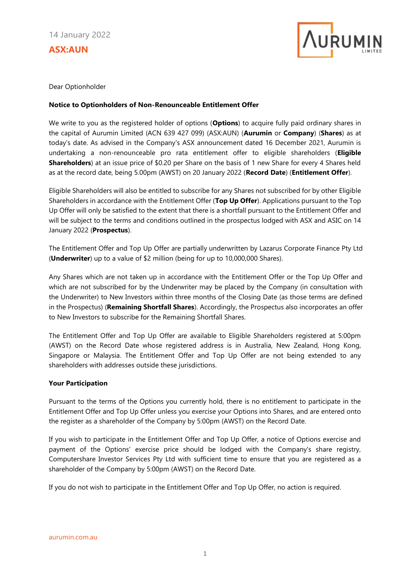**ASX:AUN**



Dear Optionholder

## **Notice to Optionholders of Non-Renounceable Entitlement Offer**

We write to you as the registered holder of options (**Options**) to acquire fully paid ordinary shares in the capital of Aurumin Limited (ACN 639 427 099) (ASX:AUN) (**Aurumin** or **Company**) (**Shares**) as at today's date. As advised in the Company's ASX announcement dated 16 December 2021, Aurumin is undertaking a non-renounceable pro rata entitlement offer to eligible shareholders (**Eligible Shareholders**) at an issue price of \$0.20 per Share on the basis of 1 new Share for every 4 Shares held as at the record date, being 5.00pm (AWST) on 20 January 2022 (**Record Date**) (**Entitlement Offer**).

Eligible Shareholders will also be entitled to subscribe for any Shares not subscribed for by other Eligible Shareholders in accordance with the Entitlement Offer (**Top Up Offer**). Applications pursuant to the Top Up Offer will only be satisfied to the extent that there is a shortfall pursuant to the Entitlement Offer and will be subject to the terms and conditions outlined in the prospectus lodged with ASX and ASIC on 14 January 2022 (**Prospectus**).

The Entitlement Offer and Top Up Offer are partially underwritten by Lazarus Corporate Finance Pty Ltd (**Underwriter**) up to a value of \$2 million (being for up to 10,000,000 Shares).

Any Shares which are not taken up in accordance with the Entitlement Offer or the Top Up Offer and which are not subscribed for by the Underwriter may be placed by the Company (in consultation with the Underwriter) to New Investors within three months of the Closing Date (as those terms are defined in the Prospectus) (**Remaining Shortfall Shares**). Accordingly, the Prospectus also incorporates an offer to New Investors to subscribe for the Remaining Shortfall Shares.

The Entitlement Offer and Top Up Offer are available to Eligible Shareholders registered at 5:00pm (AWST) on the Record Date whose registered address is in Australia, New Zealand, Hong Kong, Singapore or Malaysia. The Entitlement Offer and Top Up Offer are not being extended to any shareholders with addresses outside these jurisdictions.

## **Your Participation**

Pursuant to the terms of the Options you currently hold, there is no entitlement to participate in the Entitlement Offer and Top Up Offer unless you exercise your Options into Shares, and are entered onto the register as a shareholder of the Company by 5:00pm (AWST) on the Record Date.

If you wish to participate in the Entitlement Offer and Top Up Offer, a notice of Options exercise and payment of the Options' exercise price should be lodged with the Company's share registry, Computershare Investor Services Pty Ltd with sufficient time to ensure that you are registered as a shareholder of the Company by 5:00pm (AWST) on the Record Date.

If you do not wish to participate in the Entitlement Offer and Top Up Offer, no action is required.